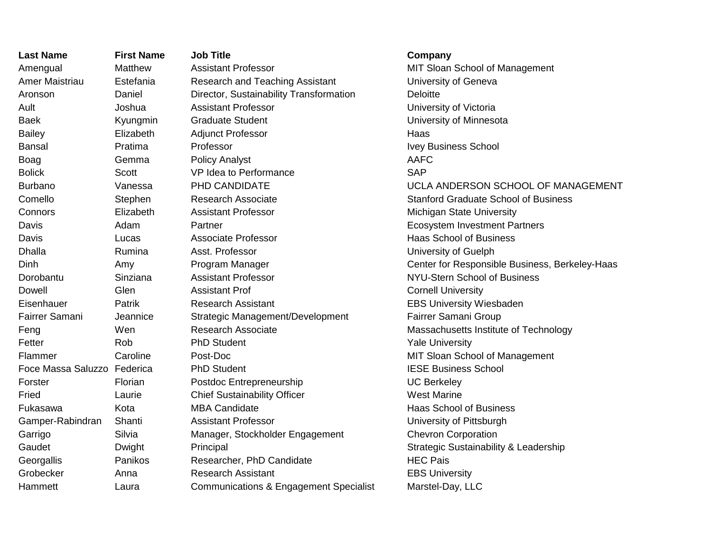| <b>Last Name</b>            | <b>First Name</b> | <b>Job Title</b>                                  | Company                                          |
|-----------------------------|-------------------|---------------------------------------------------|--------------------------------------------------|
| Amengual                    | Matthew           | <b>Assistant Professor</b>                        | MIT Sloan School of Management                   |
| <b>Amer Maistriau</b>       | Estefania         | <b>Research and Teaching Assistant</b>            | University of Geneva                             |
| Aronson                     | Daniel            | Director, Sustainability Transformation           | <b>Deloitte</b>                                  |
| Ault                        | Joshua            | <b>Assistant Professor</b>                        | University of Victoria                           |
| Baek                        | Kyungmin          | <b>Graduate Student</b>                           | University of Minnesota                          |
| <b>Bailey</b>               | Elizabeth         | <b>Adjunct Professor</b>                          | Haas                                             |
| <b>Bansal</b>               | Pratima           | Professor                                         | <b>Ivey Business School</b>                      |
| Boag                        | Gemma             | <b>Policy Analyst</b>                             | <b>AAFC</b>                                      |
| <b>Bolick</b>               | Scott             | VP Idea to Performance                            | <b>SAP</b>                                       |
| <b>Burbano</b>              | Vanessa           | PHD CANDIDATE                                     | UCLA ANDERSON SCHOOL OF MANAGEMENT               |
| Comello                     | Stephen           | <b>Research Associate</b>                         | <b>Stanford Graduate School of Business</b>      |
| Connors                     | Elizabeth         | <b>Assistant Professor</b>                        | Michigan State University                        |
| Davis                       | Adam              | Partner                                           | <b>Ecosystem Investment Partners</b>             |
| Davis                       | Lucas             | <b>Associate Professor</b>                        | <b>Haas School of Business</b>                   |
| <b>Dhalla</b>               | Rumina            | Asst. Professor                                   | University of Guelph                             |
| Dinh                        | Amy               | Program Manager                                   | Center for Responsible Business, Berkeley-Haas   |
| Dorobantu                   | Sinziana          | <b>Assistant Professor</b>                        | <b>NYU-Stern School of Business</b>              |
| Dowell                      | Glen              | <b>Assistant Prof</b>                             | <b>Cornell University</b>                        |
| Eisenhauer                  | Patrik            | <b>Research Assistant</b>                         | <b>EBS University Wiesbaden</b>                  |
| Fairrer Samani              | Jeannice          | Strategic Management/Development                  | Fairrer Samani Group                             |
| Feng                        | Wen               | <b>Research Associate</b>                         | Massachusetts Institute of Technology            |
| Fetter                      | Rob               | <b>PhD Student</b>                                | <b>Yale University</b>                           |
| Flammer                     | Caroline          | Post-Doc                                          | MIT Sloan School of Management                   |
| Foce Massa Saluzzo Federica |                   | <b>PhD Student</b>                                | <b>IESE Business School</b>                      |
| Forster                     | Florian           | Postdoc Entrepreneurship                          | <b>UC Berkeley</b>                               |
| Fried                       | Laurie            | <b>Chief Sustainability Officer</b>               | <b>West Marine</b>                               |
| Fukasawa                    | Kota              | <b>MBA Candidate</b>                              | <b>Haas School of Business</b>                   |
| Gamper-Rabindran            | Shanti            | <b>Assistant Professor</b>                        | University of Pittsburgh                         |
| Garrigo                     | Silvia            | Manager, Stockholder Engagement                   | <b>Chevron Corporation</b>                       |
| Gaudet                      | Dwight            | Principal                                         | <b>Strategic Sustainability &amp; Leadership</b> |
| Georgallis                  | Panikos           | Researcher, PhD Candidate                         | <b>HEC Pais</b>                                  |
| Grobecker                   | Anna              | <b>Research Assistant</b>                         | <b>EBS University</b>                            |
| Hammett                     | Laura             | <b>Communications &amp; Engagement Specialist</b> | Marstel-Day, LLC                                 |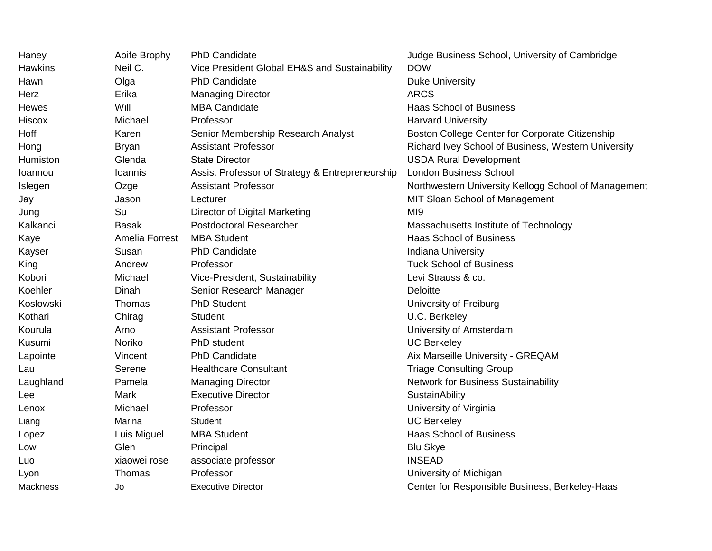| Haney          | Aoife Brophy   | <b>PhD Candidate</b>                            | Judge Business School, University of Cambridge       |  |
|----------------|----------------|-------------------------------------------------|------------------------------------------------------|--|
| <b>Hawkins</b> | Neil C.        | Vice President Global EH&S and Sustainability   | <b>DOW</b>                                           |  |
| Hawn           | Olga           | <b>PhD Candidate</b>                            | <b>Duke University</b>                               |  |
| Herz           | Erika          | <b>Managing Director</b>                        | <b>ARCS</b>                                          |  |
| Hewes          | Will           | <b>MBA Candidate</b>                            | Haas School of Business                              |  |
| <b>Hiscox</b>  | Michael        | Professor                                       | <b>Harvard University</b>                            |  |
| Hoff           | Karen          | Senior Membership Research Analyst              | Boston College Center for Corporate Citizenship      |  |
| Hong           | <b>Bryan</b>   | <b>Assistant Professor</b>                      | Richard Ivey School of Business, Western University  |  |
| Humiston       | Glenda         | <b>State Director</b>                           | <b>USDA Rural Development</b>                        |  |
| Ioannou        | Ioannis        | Assis. Professor of Strategy & Entrepreneurship | <b>London Business School</b>                        |  |
| Islegen        | Ozge           | <b>Assistant Professor</b>                      | Northwestern University Kellogg School of Management |  |
| Jay            | Jason          | Lecturer                                        | MIT Sloan School of Management                       |  |
| Jung           | Su             | Director of Digital Marketing                   | M <sub>19</sub>                                      |  |
| Kalkanci       | <b>Basak</b>   | <b>Postdoctoral Researcher</b>                  | Massachusetts Institute of Technology                |  |
| Kaye           | Amelia Forrest | <b>MBA Student</b>                              | <b>Haas School of Business</b>                       |  |
| Kayser         | Susan          | <b>PhD Candidate</b>                            | <b>Indiana University</b>                            |  |
| King           | Andrew         | Professor                                       | <b>Tuck School of Business</b>                       |  |
| Kobori         | Michael        | Vice-President, Sustainability                  | Levi Strauss & co.                                   |  |
| Koehler        | Dinah          | Senior Research Manager                         | Deloitte                                             |  |
| Koslowski      | Thomas         | <b>PhD Student</b>                              | University of Freiburg                               |  |
| Kothari        | Chirag         | <b>Student</b>                                  | U.C. Berkeley                                        |  |
| Kourula        | Arno           | <b>Assistant Professor</b>                      | University of Amsterdam                              |  |
| Kusumi         | Noriko         | PhD student                                     | <b>UC Berkeley</b>                                   |  |
| Lapointe       | Vincent        | <b>PhD Candidate</b>                            | Aix Marseille University - GREQAM                    |  |
| Lau            | Serene         | <b>Healthcare Consultant</b>                    | <b>Triage Consulting Group</b>                       |  |
| Laughland      | Pamela         | <b>Managing Director</b>                        | <b>Network for Business Sustainability</b>           |  |
| Lee            | Mark           | <b>Executive Director</b>                       | SustainAbility                                       |  |
| Lenox          | Michael        | Professor                                       | University of Virginia                               |  |
| Liang          | Marina         | Student                                         | <b>UC Berkeley</b>                                   |  |
| Lopez          | Luis Miguel    | <b>MBA Student</b>                              | <b>Haas School of Business</b>                       |  |
| Low            | Glen           | Principal                                       | <b>Blu Skye</b>                                      |  |
| Luo            | xiaowei rose   | associate professor                             | <b>INSEAD</b>                                        |  |
| Lyon           | Thomas         | Professor                                       | University of Michigan                               |  |
| Mackness       | Jo             | <b>Executive Director</b>                       | Center for Responsible Business, Berkeley-Haas       |  |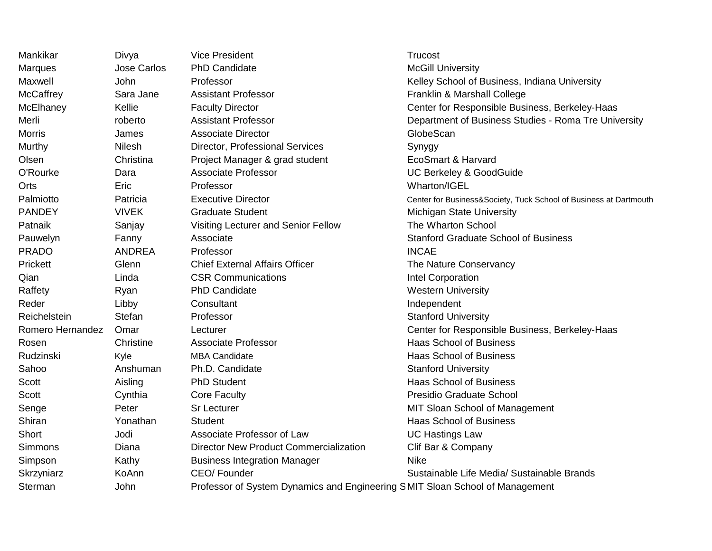| Mankikar         | Divya        | <b>Vice President</b>                                                        | Trucost                                                           |  |
|------------------|--------------|------------------------------------------------------------------------------|-------------------------------------------------------------------|--|
| <b>Marques</b>   | Jose Carlos  | <b>PhD Candidate</b>                                                         | <b>McGill University</b>                                          |  |
| Maxwell          | <b>John</b>  | Professor                                                                    | Kelley School of Business, Indiana University                     |  |
| <b>McCaffrey</b> | Sara Jane    | <b>Assistant Professor</b>                                                   | Franklin & Marshall College                                       |  |
| McElhaney        | Kellie       | <b>Faculty Director</b>                                                      | Center for Responsible Business, Berkeley-Haas                    |  |
| Merli            | roberto      | <b>Assistant Professor</b>                                                   | Department of Business Studies - Roma Tre University              |  |
| <b>Morris</b>    | James        | <b>Associate Director</b>                                                    | GlobeScan                                                         |  |
| Murthy           | Nilesh       | Director, Professional Services                                              | Synygy                                                            |  |
| Olsen            | Christina    | Project Manager & grad student                                               | EcoSmart & Harvard                                                |  |
| O'Rourke         | Dara         | <b>Associate Professor</b>                                                   | UC Berkeley & GoodGuide                                           |  |
| Orts             | Eric         | Professor                                                                    | Wharton/IGEL                                                      |  |
| Palmiotto        | Patricia     | <b>Executive Director</b>                                                    | Center for Business&Society, Tuck School of Business at Dartmouth |  |
| <b>PANDEY</b>    | <b>VIVEK</b> | <b>Graduate Student</b>                                                      | Michigan State University                                         |  |
| Patnaik          | Sanjay       | Visiting Lecturer and Senior Fellow                                          | The Wharton School                                                |  |
| Pauwelyn         | Fanny        | Associate                                                                    | <b>Stanford Graduate School of Business</b>                       |  |
| <b>PRADO</b>     | ANDREA       | Professor                                                                    | <b>INCAE</b>                                                      |  |
| Prickett         | Glenn        | <b>Chief External Affairs Officer</b>                                        | The Nature Conservancy                                            |  |
| Qian             | Linda        | <b>CSR Communications</b>                                                    | Intel Corporation                                                 |  |
| Raffety          | Ryan         | <b>PhD Candidate</b>                                                         | <b>Western University</b>                                         |  |
| Reder            | Libby        | Consultant                                                                   | Independent                                                       |  |
| Reichelstein     | Stefan       | Professor                                                                    | <b>Stanford University</b>                                        |  |
| Romero Hernandez | Omar         | Lecturer                                                                     | Center for Responsible Business, Berkeley-Haas                    |  |
| Rosen            | Christine    | <b>Associate Professor</b>                                                   | <b>Haas School of Business</b>                                    |  |
| Rudzinski        | Kyle         | <b>MBA Candidate</b>                                                         | <b>Haas School of Business</b>                                    |  |
| Sahoo            | Anshuman     | Ph.D. Candidate                                                              | <b>Stanford University</b>                                        |  |
| Scott            | Aisling      | <b>PhD Student</b>                                                           | <b>Haas School of Business</b>                                    |  |
| Scott            | Cynthia      | <b>Core Faculty</b>                                                          | Presidio Graduate School                                          |  |
| Senge            | Peter        | <b>Sr Lecturer</b>                                                           | MIT Sloan School of Management                                    |  |
| Shiran           | Yonathan     | <b>Student</b>                                                               | <b>Haas School of Business</b>                                    |  |
| Short            | Jodi         | Associate Professor of Law                                                   | <b>UC Hastings Law</b>                                            |  |
| Simmons          | Diana        | <b>Director New Product Commercialization</b>                                | Clif Bar & Company                                                |  |
| Simpson          | Kathy        | <b>Business Integration Manager</b>                                          | <b>Nike</b>                                                       |  |
| Skrzyniarz       | KoAnn        | CEO/Founder                                                                  | Sustainable Life Media/ Sustainable Brands                        |  |
| Sterman          | John         | Professor of System Dynamics and Engineering SMIT Sloan School of Management |                                                                   |  |